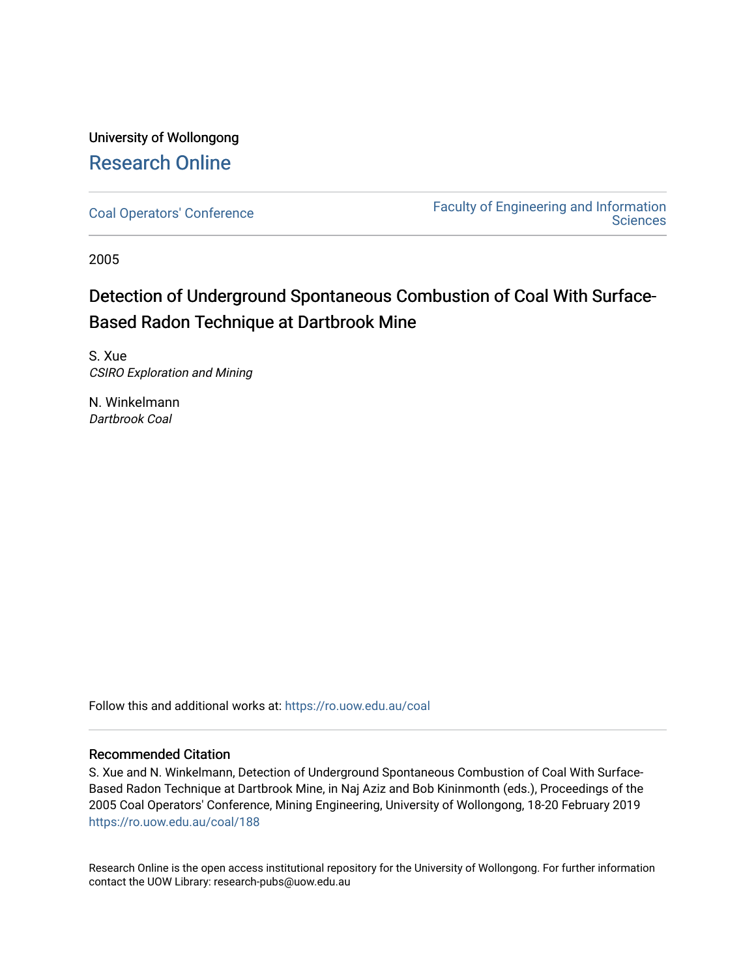University of Wollongong [Research Online](https://ro.uow.edu.au/) 

[Coal Operators' Conference](https://ro.uow.edu.au/coal) [Faculty of Engineering and Information](https://ro.uow.edu.au/eis)  **Sciences** 

2005

# Detection of Underground Spontaneous Combustion of Coal With Surface-Based Radon Technique at Dartbrook Mine

S. Xue CSIRO Exploration and Mining

N. Winkelmann Dartbrook Coal

Follow this and additional works at: [https://ro.uow.edu.au/coal](https://ro.uow.edu.au/coal?utm_source=ro.uow.edu.au%2Fcoal%2F188&utm_medium=PDF&utm_campaign=PDFCoverPages) 

# Recommended Citation

S. Xue and N. Winkelmann, Detection of Underground Spontaneous Combustion of Coal With Surface-Based Radon Technique at Dartbrook Mine, in Naj Aziz and Bob Kininmonth (eds.), Proceedings of the 2005 Coal Operators' Conference, Mining Engineering, University of Wollongong, 18-20 February 2019 [https://ro.uow.edu.au/coal/188](https://ro.uow.edu.au/coal/188?utm_source=ro.uow.edu.au%2Fcoal%2F188&utm_medium=PDF&utm_campaign=PDFCoverPages) 

Research Online is the open access institutional repository for the University of Wollongong. For further information contact the UOW Library: research-pubs@uow.edu.au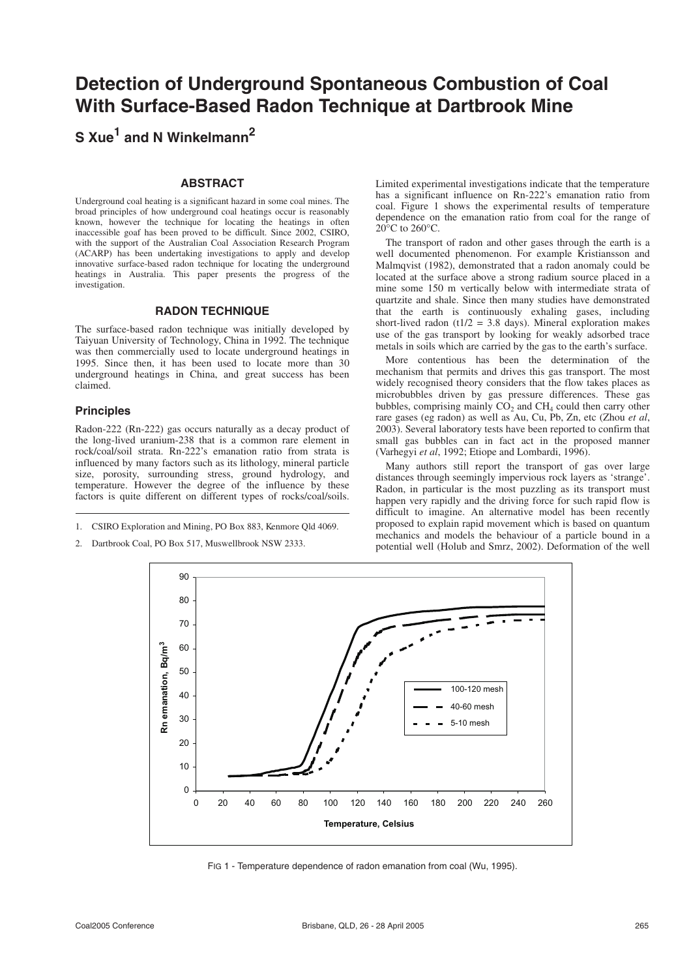# **Detection of Underground Spontaneous Combustion of Coal With Surface-Based Radon Technique at Dartbrook Mine**

**S Xue1 and N Winkelmann2**

#### **ABSTRACT**

Underground coal heating is a significant hazard in some coal mines. The broad principles of how underground coal heatings occur is reasonably known, however the technique for locating the heatings in often inaccessible goaf has been proved to be difficult. Since 2002, CSIRO, with the support of the Australian Coal Association Research Program (ACARP) has been undertaking investigations to apply and develop innovative surface-based radon technique for locating the underground heatings in Australia. This paper presents the progress of the investigation.

## **RADON TECHNIQUE**

The surface-based radon technique was initially developed by Taiyuan University of Technology, China in 1992. The technique was then commercially used to locate underground heatings in 1995. Since then, it has been used to locate more than 30 underground heatings in China, and great success has been claimed.

#### **Principles**

Radon-222 (Rn-222) gas occurs naturally as a decay product of the long-lived uranium-238 that is a common rare element in rock/coal/soil strata. Rn-222's emanation ratio from strata is influenced by many factors such as its lithology, mineral particle size, porosity, surrounding stress, ground hydrology, and temperature. However the degree of the influence by these factors is quite different on different types of rocks/coal/soils.

- 1. CSIRO Exploration and Mining, PO Box 883, Kenmore Qld 4069.
- 2. Dartbrook Coal, PO Box 517, Muswellbrook NSW 2333.

Limited experimental investigations indicate that the temperature has a significant influence on Rn-222's emanation ratio from coal. Figure 1 shows the experimental results of temperature dependence on the emanation ratio from coal for the range of  $20^{\circ}$ C to  $260^{\circ}$ C.

The transport of radon and other gases through the earth is a well documented phenomenon. For example Kristiansson and Malmqvist (1982), demonstrated that a radon anomaly could be located at the surface above a strong radium source placed in a mine some 150 m vertically below with intermediate strata of quartzite and shale. Since then many studies have demonstrated that the earth is continuously exhaling gases, including short-lived radon (t1/2 = 3.8 days). Mineral exploration makes use of the gas transport by looking for weakly adsorbed trace metals in soils which are carried by the gas to the earth's surface.

More contentious has been the determination of the mechanism that permits and drives this gas transport. The most widely recognised theory considers that the flow takes places as microbubbles driven by gas pressure differences. These gas bubbles, comprising mainly  $CO<sub>2</sub>$  and  $CH<sub>4</sub>$  could then carry other rare gases (eg radon) as well as Au, Cu, Pb, Zn, etc (Zhou *et al*, 2003). Several laboratory tests have been reported to confirm that small gas bubbles can in fact act in the proposed manner (Varhegyi *et al*, 1992; Etiope and Lombardi, 1996).

Many authors still report the transport of gas over large distances through seemingly impervious rock layers as 'strange'. Radon, in particular is the most puzzling as its transport must happen very rapidly and the driving force for such rapid flow is difficult to imagine. An alternative model has been recently proposed to explain rapid movement which is based on quantum mechanics and models the behaviour of a particle bound in a potential well (Holub and Smrz, 2002). Deformation of the well



FIG 1 - Temperature dependence of radon emanation from coal (Wu, 1995).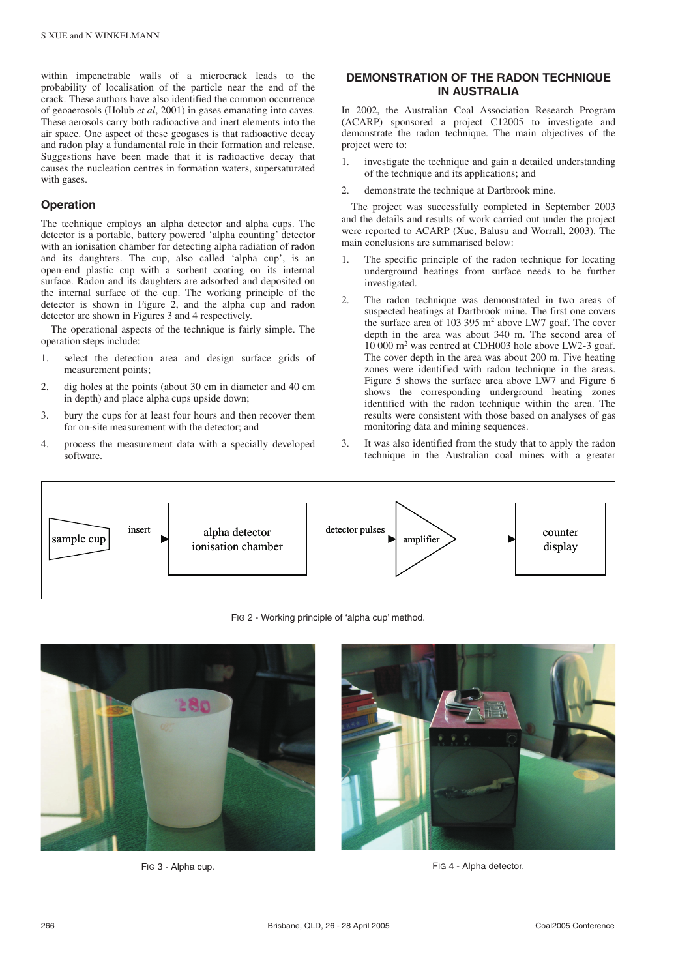within impenetrable walls of a microcrack leads to the probability of localisation of the particle near the end of the crack. These authors have also identified the common occurrence of geoaerosols (Holub *et al*, 2001) in gases emanating into caves. These aerosols carry both radioactive and inert elements into the air space. One aspect of these geogases is that radioactive decay and radon play a fundamental role in their formation and release. Suggestions have been made that it is radioactive decay that causes the nucleation centres in formation waters, supersaturated with gases.

#### **Operation**

The technique employs an alpha detector and alpha cups. The detector is a portable, battery powered 'alpha counting' detector with an ionisation chamber for detecting alpha radiation of radon and its daughters. The cup, also called 'alpha cup', is an open-end plastic cup with a sorbent coating on its internal surface. Radon and its daughters are adsorbed and deposited on the internal surface of the cup. The working principle of the detector is shown in Figure 2, and the alpha cup and radon detector are shown in Figures 3 and 4 respectively.

The operational aspects of the technique is fairly simple. The operation steps include:

- 1. select the detection area and design surface grids of measurement points;
- 2. dig holes at the points (about 30 cm in diameter and 40 cm in depth) and place alpha cups upside down;
- 3. bury the cups for at least four hours and then recover them for on-site measurement with the detector; and
- 4. process the measurement data with a specially developed software.

## **DEMONSTRATION OF THE RADON TECHNIQUE IN AUSTRALIA**

In 2002, the Australian Coal Association Research Program (ACARP) sponsored a project C12005 to investigate and demonstrate the radon technique. The main objectives of the project were to:

- 1. investigate the technique and gain a detailed understanding of the technique and its applications; and
- 2. demonstrate the technique at Dartbrook mine.

The project was successfully completed in September 2003 and the details and results of work carried out under the project were reported to ACARP (Xue, Balusu and Worrall, 2003). The main conclusions are summarised below:

- The specific principle of the radon technique for locating underground heatings from surface needs to be further investigated.
- 2. The radon technique was demonstrated in two areas of suspected heatings at Dartbrook mine. The first one covers the surface area of 103 395 m<sup>2</sup> above LW7 goaf. The cover depth in the area was about 340 m. The second area of 10 000 m<sup>2</sup> was centred at CDH003 hole above LW2-3 goaf. The cover depth in the area was about 200 m. Five heating zones were identified with radon technique in the areas. Figure 5 shows the surface area above LW7 and Figure 6 shows the corresponding underground heating zones identified with the radon technique within the area. The results were consistent with those based on analyses of gas monitoring data and mining sequences.
- 3. It was also identified from the study that to apply the radon technique in the Australian coal mines with a greater



FIG 2 - Working principle of 'alpha cup' method.





FIG 3 - Alpha cup. **FIG 4 - Alpha detector.**